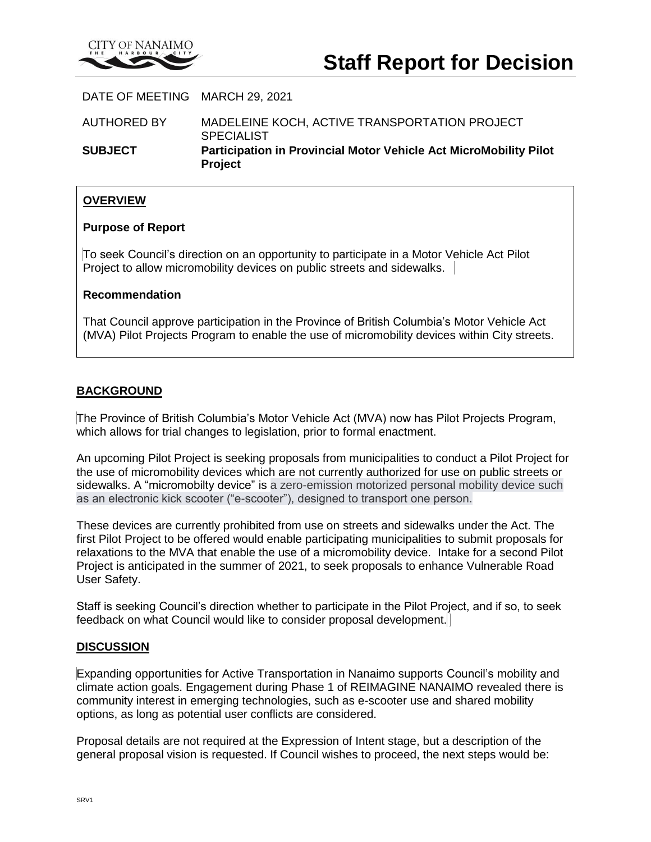

DATE OF MEETING MARCH 29, 2021

AUTHORED BY MADELEINE KOCH, ACTIVE TRANSPORTATION PROJECT SPECIALIST **SUBJECT Participation in Provincial Motor Vehicle Act MicroMobility Pilot Project**

# **OVERVIEW**

### **Purpose of Report**

To seek Council's direction on an opportunity to participate in a Motor Vehicle Act Pilot Project to allow micromobility devices on public streets and sidewalks.

## **Recommendation**

That Council approve participation in the Province of British Columbia's Motor Vehicle Act (MVA) Pilot Projects Program to enable the use of micromobility devices within City streets.

## **BACKGROUND**

The Province of British Columbia's Motor Vehicle Act (MVA) now has Pilot Projects Program, which allows for trial changes to legislation, prior to formal enactment.

An upcoming Pilot Project is seeking proposals from municipalities to conduct a Pilot Project for the use of micromobility devices which are not currently authorized for use on public streets or sidewalks. A "micromobilty device" is a zero-emission motorized personal mobility device such as an electronic kick scooter ("e-scooter"), designed to transport one person.

These devices are currently prohibited from use on streets and sidewalks under the Act. The first Pilot Project to be offered would enable participating municipalities to submit proposals for relaxations to the MVA that enable the use of a micromobility device. Intake for a second Pilot Project is anticipated in the summer of 2021, to seek proposals to enhance Vulnerable Road User Safety.

Staff is seeking Council's direction whether to participate in the Pilot Project, and if so, to seek feedback on what Council would like to consider proposal development.

### **DISCUSSION**

Expanding opportunities for Active Transportation in Nanaimo supports Council's mobility and climate action goals. Engagement during Phase 1 of REIMAGINE NANAIMO revealed there is community interest in emerging technologies, such as e-scooter use and shared mobility options, as long as potential user conflicts are considered.

Proposal details are not required at the Expression of Intent stage, but a description of the general proposal vision is requested. If Council wishes to proceed, the next steps would be: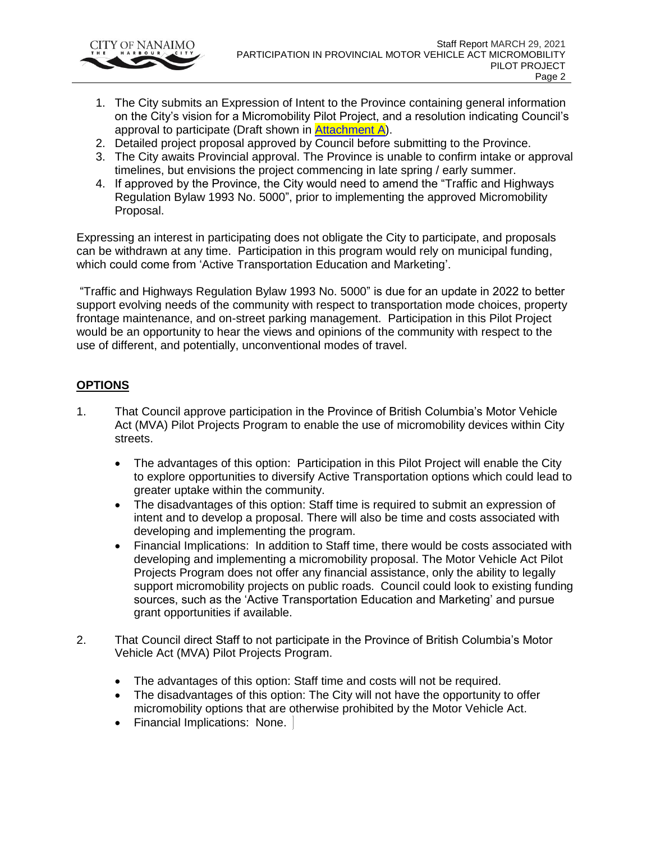

- 1. The City submits an Expression of Intent to the Province containing general information on the City's vision for a Micromobility Pilot Project, and a resolution indicating Council's approval to participate (Draft shown in [Attachment A\)](file:///G:/Administration/Council%20Reports/2021/RPT_C210329_ParticipationinProvincialMotorVehicleActMicroMobilityPilotProject_AttA.pdf).
- 2. Detailed project proposal approved by Council before submitting to the Province.
- 3. The City awaits Provincial approval. The Province is unable to confirm intake or approval timelines, but envisions the project commencing in late spring / early summer.
- 4. If approved by the Province, the City would need to amend the "Traffic and Highways Regulation Bylaw 1993 No. 5000", prior to implementing the approved Micromobility Proposal.

Expressing an interest in participating does not obligate the City to participate, and proposals can be withdrawn at any time. Participation in this program would rely on municipal funding, which could come from 'Active Transportation Education and Marketing'.

"Traffic and Highways Regulation Bylaw 1993 No. 5000" is due for an update in 2022 to better support evolving needs of the community with respect to transportation mode choices, property frontage maintenance, and on-street parking management. Participation in this Pilot Project would be an opportunity to hear the views and opinions of the community with respect to the use of different, and potentially, unconventional modes of travel.

# **OPTIONS**

- 1. That Council approve participation in the Province of British Columbia's Motor Vehicle Act (MVA) Pilot Projects Program to enable the use of micromobility devices within City streets.
	- The advantages of this option: Participation in this Pilot Project will enable the City to explore opportunities to diversify Active Transportation options which could lead to greater uptake within the community.
	- The disadvantages of this option: Staff time is required to submit an expression of intent and to develop a proposal. There will also be time and costs associated with developing and implementing the program.
	- Financial Implications: In addition to Staff time, there would be costs associated with developing and implementing a micromobility proposal. The Motor Vehicle Act Pilot Projects Program does not offer any financial assistance, only the ability to legally support micromobility projects on public roads. Council could look to existing funding sources, such as the 'Active Transportation Education and Marketing' and pursue grant opportunities if available.
- 2. That Council direct Staff to not participate in the Province of British Columbia's Motor Vehicle Act (MVA) Pilot Projects Program.
	- The advantages of this option: Staff time and costs will not be required.
	- The disadvantages of this option: The City will not have the opportunity to offer micromobility options that are otherwise prohibited by the Motor Vehicle Act.
	- Financial Implications: None.